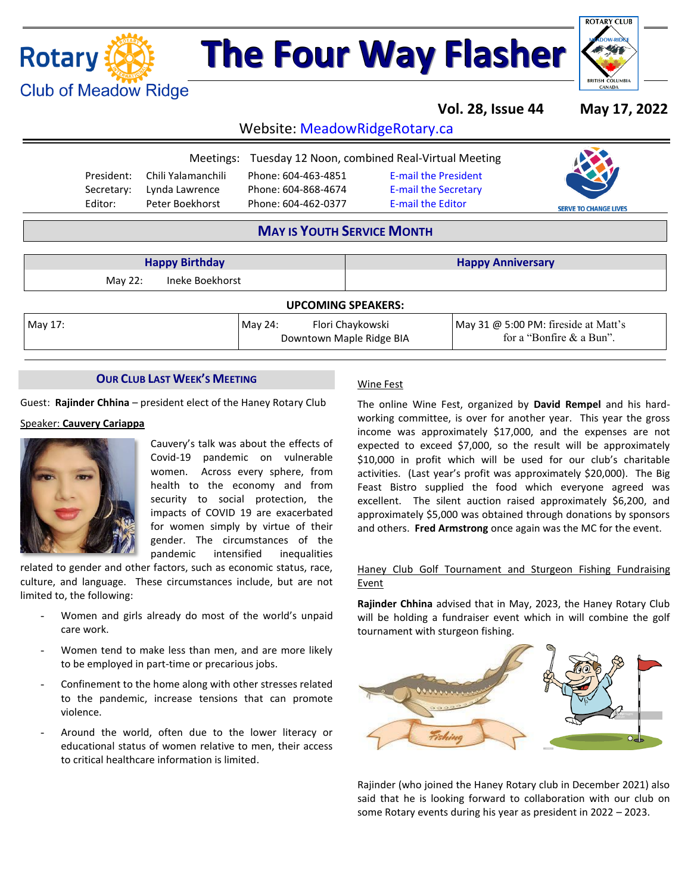## **Rotary (A) Club of Meadow Ridge**

# **The Four Way Flasher**



**Vol. 28, Issue 44 May 17, 2022**

for a "Bonfire & a Bun".

Website: MeadowRidgeRotary.ca

|            |                    | Meetings: Tuesday 12 Noon, combined Real-Virtual Meeting |                             |                              |
|------------|--------------------|----------------------------------------------------------|-----------------------------|------------------------------|
| President: | Chili Yalamanchili | Phone: 604-463-4851                                      | <b>E-mail the President</b> |                              |
| Secretary: | Lynda Lawrence     | Phone: 604-868-4674                                      | <b>E-mail the Secretary</b> |                              |
| Editor:    | Peter Boekhorst    | Phone: 604-462-0377                                      | <b>E-mail the Editor</b>    | <b>SERVE TO CHANGE LIVES</b> |
|            |                    |                                                          |                             |                              |

### **MAY IS YOUTH SERVICE MONTH**

Downtown Maple Ridge BIA

|                            | <b>Happy Birthday</b> |         |                           | <b>Happy Anniversary</b>             |  |  |
|----------------------------|-----------------------|---------|---------------------------|--------------------------------------|--|--|
| Ineke Boekhorst<br>May 22: |                       |         |                           |                                      |  |  |
|                            |                       |         | <b>UPCOMING SPEAKERS:</b> |                                      |  |  |
| May 17:                    |                       | May 24: | Flori Chaykowski          | May 31 @ 5:00 PM: fireside at Matt's |  |  |

#### **OUR CLUB LAST WEEK'S MEETING**

Guest: **Rajinder Chhina** – president elect of the Haney Rotary Club

#### Speaker: **Cauvery Cariappa**



Cauvery's talk was about the effects of Covid-19 pandemic on vulnerable women. Across every sphere, from health to the economy and from security to social protection, the impacts of COVID 19 are exacerbated for women simply by virtue of their gender. The circumstances of the pandemic intensified inequalities

related to gender and other factors, such as economic status, race, culture, and language. These circumstances include, but are not limited to, the following:

- Women and girls already do most of the world's unpaid care work.
- Women tend to make less than men, and are more likely to be employed in part-time or precarious jobs.
- Confinement to the home along with other stresses related to the pandemic, increase tensions that can promote violence.
- Around the world, often due to the lower literacy or educational status of women relative to men, their access to critical healthcare information is limited.

#### Wine Fest

The online Wine Fest, organized by **David Rempel** and his hardworking committee, is over for another year. This year the gross income was approximately \$17,000, and the expenses are not expected to exceed \$7,000, so the result will be approximately \$10,000 in profit which will be used for our club's charitable activities. (Last year's profit was approximately \$20,000). The Big Feast Bistro supplied the food which everyone agreed was excellent. The silent auction raised approximately \$6,200, and approximately \$5,000 was obtained through donations by sponsors and others. **Fred Armstrong** once again was the MC for the event.

#### Haney Club Golf Tournament and Sturgeon Fishing Fundraising Event

**Rajinder Chhina** advised that in May, 2023, the Haney Rotary Club will be holding a fundraiser event which in will combine the golf tournament with sturgeon fishing.



Rajinder (who joined the Haney Rotary club in December 2021) also said that he is looking forward to collaboration with our club on some Rotary events during his year as president in 2022 – 2023.